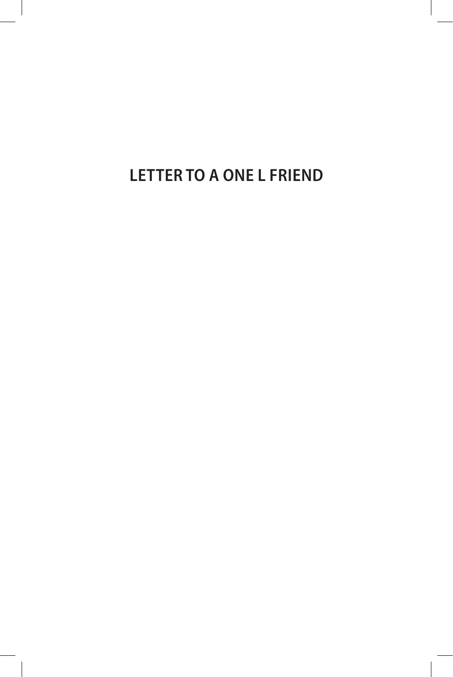**LETTER TO A ONE L FRIEND**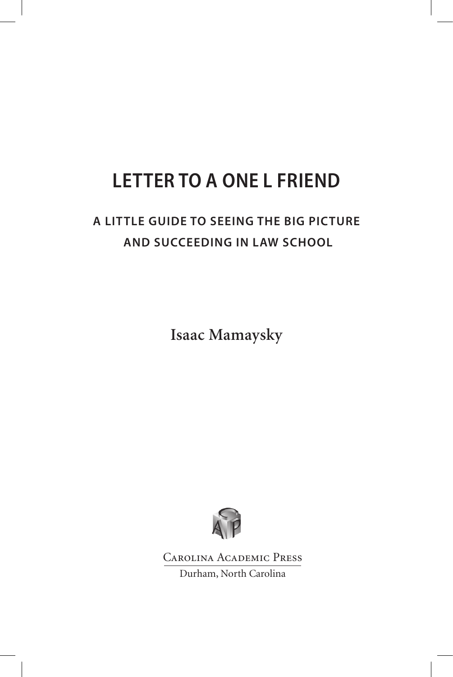# **LETTER TO A ONE L FRIEND**

## **A LITTLE GUIDE TO SEEING THE BIG PICTURE AND SUCCEEDING IN LAW SCHOOL**

**Isaac Mamaysky**



Carolina Academic Press Durham, North Carolina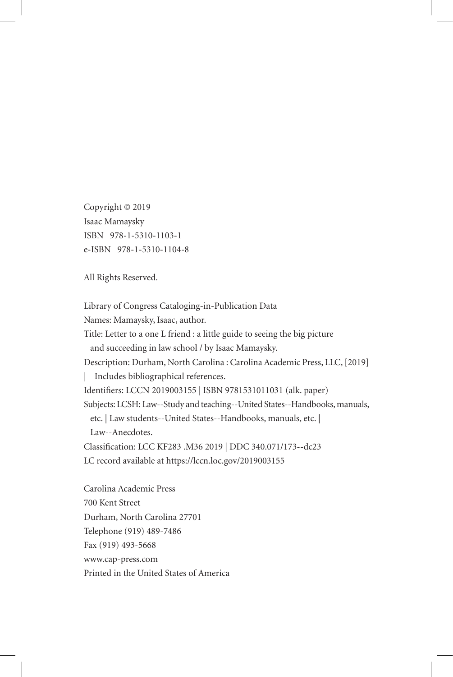Copyright © 2019 Isaac Mamaysky ISBN 978-1-5310-1103-1 e-ISBN 978-1-5310-1104-8

All Rights Reserved.

Library of Congress Cataloging-in-Publication Data Names: Mamaysky, Isaac, author. Title: Letter to a one L friend : a little guide to seeing the big picture and succeeding in law school / by Isaac Mamaysky. Description: Durham, North Carolina : Carolina Academic Press, LLC, [2019] | Includes bibliographical references. Identifiers: LCCN 2019003155 | ISBN 9781531011031 (alk. paper) Subjects: LCSH: Law--Study and teaching--United States--Handbooks, manuals, etc. | Law students--United States--Handbooks, manuals, etc. | Law--Anecdotes. Classification: LCC KF283 .M36 2019 | DDC 340.071/173--dc23 LC record available at https://lccn.loc.gov/2019003155 Carolina Academic Press 700 Kent Street Durham, North Carolina 27701

Telephone (919) 489-7486

Fax (919) 493-5668

www.cap-press.com

Printed in the United States of America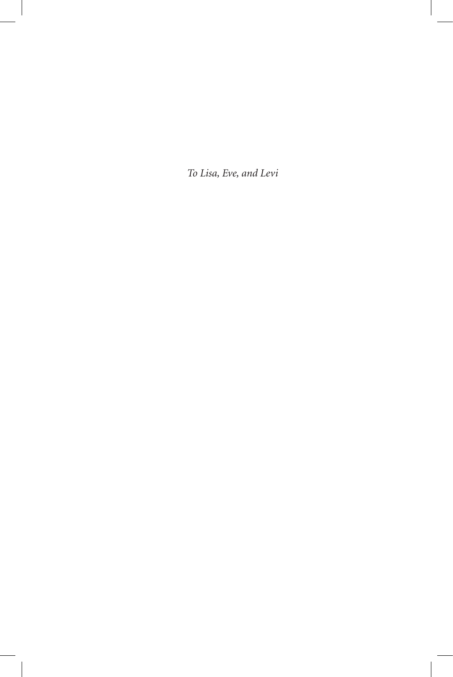*To Lisa, Eve, and Levi*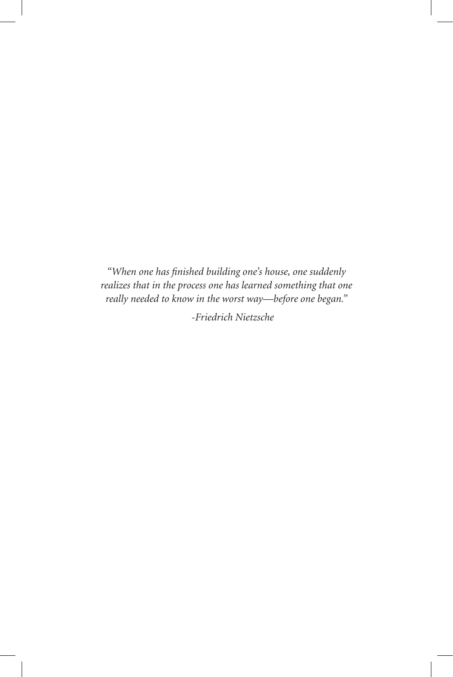*"When one has finished building one's house, one suddenly realizes that in the process one has learned something that one really needed to know in the worst way—before one began."*

*-Friedrich Nietzsche*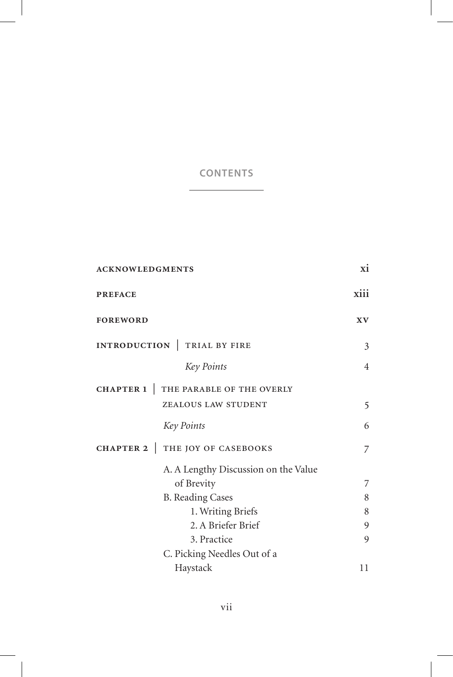| <b>ACKNOWLEDGMENTS</b>                        | xi             |
|-----------------------------------------------|----------------|
| <b>PREFACE</b>                                | xiii           |
| <b>FOREWORD</b>                               | XV             |
| INTRODUCTION<br>TRIAL BY FIRE                 | 3              |
| Key Points                                    | $\overline{4}$ |
| THE PARABLE OF THE OVERLY<br><b>CHAPTER 1</b> |                |
| ZEALOUS LAW STUDENT                           | 5              |
| Key Points                                    | 6              |
| THE JOY OF CASEBOOKS<br>CHAPTER 2             | 7              |
| A. A Lengthy Discussion on the Value          |                |
| of Brevity                                    | 7              |
| <b>B.</b> Reading Cases                       | 8              |
| 1. Writing Briefs                             | 8              |
| 2. A Briefer Brief                            | 9              |
| 3. Practice                                   | 9              |
| C. Picking Needles Out of a                   |                |
| Haystack                                      | 11             |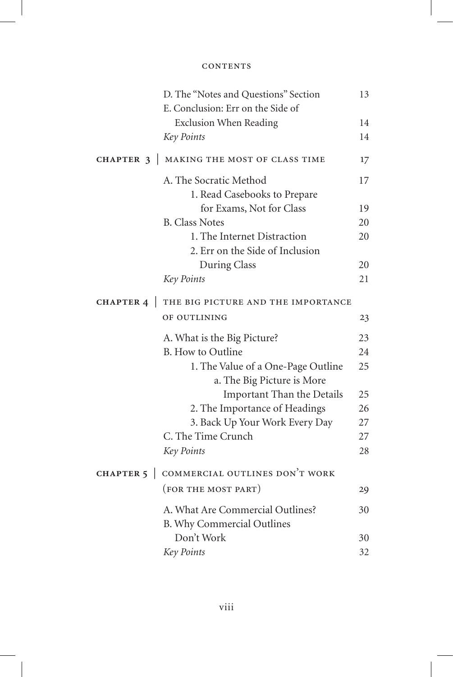|                                       | D. The "Notes and Questions" Section           | 13 |
|---------------------------------------|------------------------------------------------|----|
|                                       | E. Conclusion: Err on the Side of              |    |
|                                       | <b>Exclusion When Reading</b>                  | 14 |
|                                       | Key Points                                     | 14 |
| CHAPTER 3<br>$\overline{\phantom{a}}$ | MAKING THE MOST OF CLASS TIME                  | 17 |
|                                       | A. The Socratic Method                         | 17 |
|                                       | 1. Read Casebooks to Prepare                   |    |
|                                       | for Exams, Not for Class                       | 19 |
|                                       | <b>B.</b> Class Notes                          | 20 |
|                                       | 1. The Internet Distraction                    | 20 |
|                                       | 2. Err on the Side of Inclusion                |    |
|                                       | During Class                                   | 20 |
|                                       | Key Points                                     | 21 |
|                                       | CHAPTER 4   THE BIG PICTURE AND THE IMPORTANCE |    |
|                                       | OF OUTLINING                                   | 23 |
|                                       | A. What is the Big Picture?                    | 23 |
|                                       | B. How to Outline                              | 24 |
|                                       | 1. The Value of a One-Page Outline             | 25 |
|                                       | a. The Big Picture is More                     |    |
|                                       | Important Than the Details                     | 25 |
|                                       | 2. The Importance of Headings                  | 26 |
|                                       | 3. Back Up Your Work Every Day                 | 27 |
|                                       | C. The Time Crunch                             | 27 |
|                                       | Key Points                                     | 28 |
| <b>CHAPTER 5</b>                      | COMMERCIAL OUTLINES DON'T WORK                 |    |
|                                       | (FOR THE MOST PART)                            | 29 |
|                                       | A. What Are Commercial Outlines?               | 30 |
|                                       | B. Why Commercial Outlines                     |    |
|                                       | Don't Work                                     | 30 |
|                                       | Key Points                                     | 32 |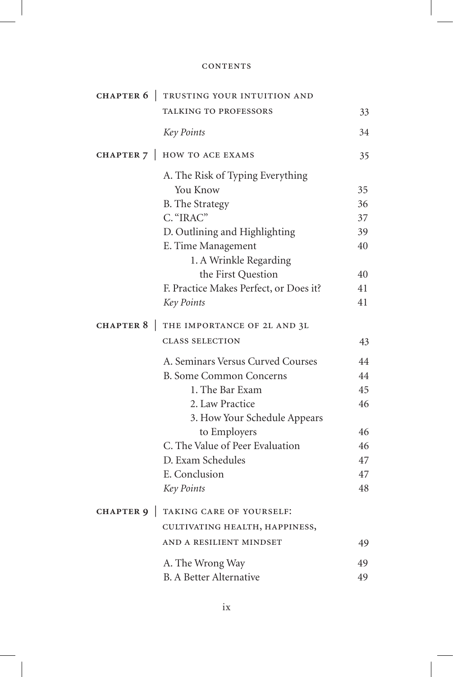| CHAPTER 6        | TRUSTING YOUR INTUITION AND            |    |
|------------------|----------------------------------------|----|
|                  | TALKING TO PROFESSORS                  | 33 |
|                  | Key Points                             | 34 |
| CHAPTER 7        | HOW TO ACE EXAMS                       | 35 |
|                  | A. The Risk of Typing Everything       |    |
|                  | You Know                               | 35 |
|                  | <b>B.</b> The Strategy                 | 36 |
|                  | C. "IRAC"                              | 37 |
|                  | D. Outlining and Highlighting          | 39 |
|                  | E. Time Management                     | 40 |
|                  | 1. A Wrinkle Regarding                 |    |
|                  | the First Question                     | 40 |
|                  | F. Practice Makes Perfect, or Does it? | 41 |
|                  | Key Points                             | 41 |
| CHAPTER 8        | THE IMPORTANCE OF 2L AND 3L            |    |
|                  | <b>CLASS SELECTION</b>                 | 43 |
|                  | A. Seminars Versus Curved Courses      | 44 |
|                  | <b>B. Some Common Concerns</b>         | 44 |
|                  | 1. The Bar Exam                        | 45 |
|                  | 2. Law Practice                        | 46 |
|                  | 3. How Your Schedule Appears           |    |
|                  | to Employers                           | 46 |
|                  | C. The Value of Peer Evaluation        | 46 |
|                  | D. Exam Schedules                      | 47 |
|                  | E. Conclusion                          | 47 |
|                  | Key Points                             | 48 |
| <b>CHAPTER 9</b> | TAKING CARE OF YOURSELF:               |    |
|                  | CULTIVATING HEALTH, HAPPINESS,         |    |
|                  | AND A RESILIENT MINDSET                | 49 |
|                  | A. The Wrong Way                       | 49 |
|                  | <b>B.</b> A Better Alternative         | 49 |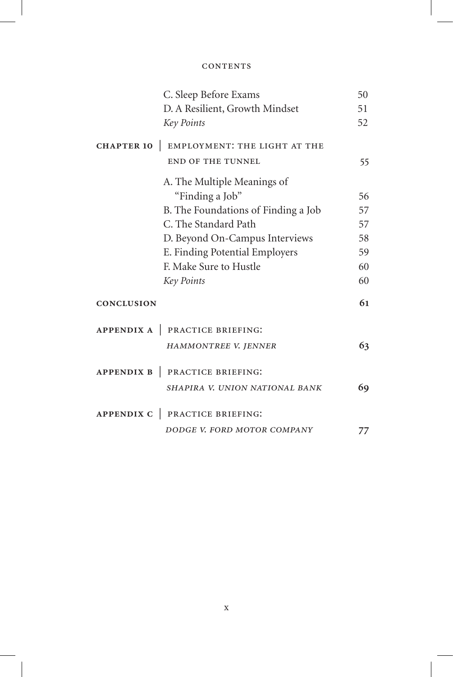| C. Sleep Before Exams                                               | 50 |
|---------------------------------------------------------------------|----|
| D. A Resilient, Growth Mindset                                      | 51 |
| Key Points                                                          | 52 |
| EMPLOYMENT: THE LIGHT AT THE<br><b>CHAPTER 10</b>                   |    |
| <b>END OF THE TUNNEL</b>                                            | 55 |
| A. The Multiple Meanings of                                         |    |
| "Finding a Job"                                                     | 56 |
| B. The Foundations of Finding a Job                                 | 57 |
| C. The Standard Path                                                | 57 |
| D. Beyond On-Campus Interviews                                      | 58 |
| E. Finding Potential Employers                                      | 59 |
| F. Make Sure to Hustle                                              | 60 |
| Key Points                                                          | 60 |
| <b>CONCLUSION</b>                                                   | 61 |
| PRACTICE BRIEFING:<br>APPENDIX A                                    |    |
| HAMMONTREE V. JENNER                                                | 63 |
| PRACTICE BRIEFING:<br><b>APPENDIX B</b><br>$\overline{\phantom{a}}$ |    |
| SHAPIRA V. UNION NATIONAL BANK                                      | 69 |
| PRACTICE BRIEFING:<br><b>APPENDIX C</b>                             |    |
| DODGE V. FORD MOTOR COMPANY                                         | 77 |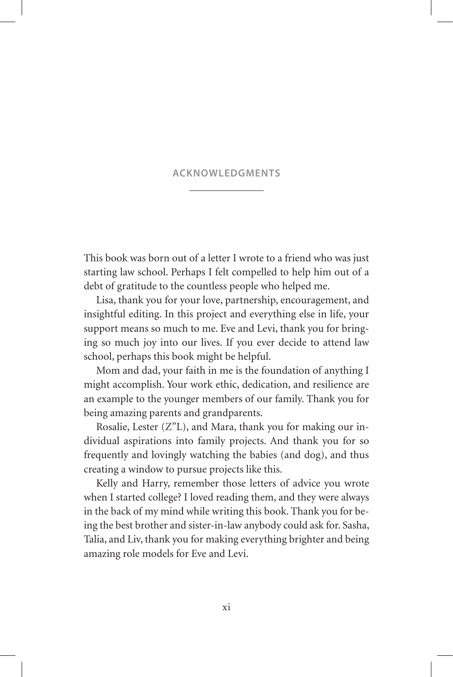#### **ACKNOWLEDGMENTS**

This book was born out of a letter I wrote to a friend who was just starting law school. Perhaps I felt compelled to help him out of a debt of gratitude to the countless people who helped me.

Lisa, thank you for your love, partnership, encouragement, and insightful editing. In this project and everything else in life, your support means so much to me. Eve and Levi, thank you for bringing so much joy into our lives. If you ever decide to attend law school, perhaps this book might be helpful.

Mom and dad, your faith in me is the foundation of anything I might accomplish. Your work ethic, dedication, and resilience are an example to the younger members of our family. Thank you for being amazing parents and grandparents.

Rosalie, Lester  $(Z''L)$ , and Mara, thank you for making our individual aspirations into family projects. And thank you for so frequently and lovingly watching the babies (and dog), and thus creating a window to pursue projects like this.

Kelly and Harry, remember those letters of advice you wrote when I started college? I loved reading them, and they were always in the back of my mind while writing this book. Thank you for being the best brother and sister-in-law anybody could ask for. Sasha, Talia, and Liv, thank you for making everything brighter and being amazing role models for Eve and Levi.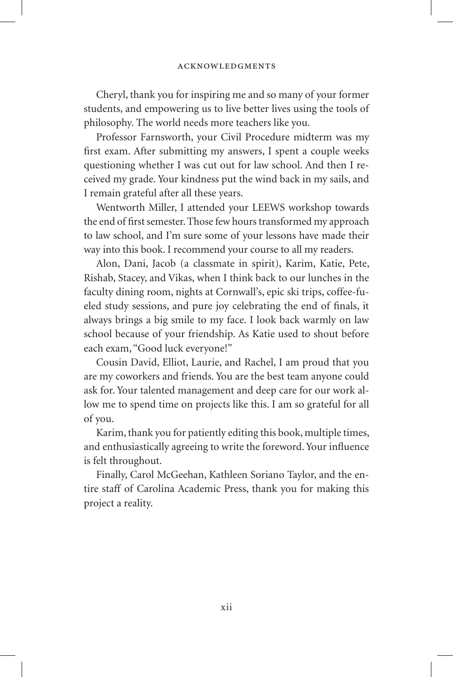Cheryl, thank you for inspiring me and so many of your former students, and empowering us to live better lives using the tools of philosophy. The world needs more teachers like you.

Professor Farnsworth, your Civil Procedure midterm was my first exam. After submitting my answers, I spent a couple weeks questioning whether I was cut out for law school. And then I received my grade. Your kindness put the wind back in my sails, and I remain grateful after all these years.

Wentworth Miller, I attended your LEEWS workshop towards the end of first semester. Those few hours transformed my approach to law school, and I'm sure some of your lessons have made their way into this book. I recommend your course to all my readers.

Alon, Dani, Jacob (a classmate in spirit), Karim, Katie, Pete, Rishab, Stacey, and Vikas, when I think back to our lunches in the faculty dining room, nights at Cornwall's, epic ski trips, coffee-fueled study sessions, and pure joy celebrating the end of finals, it always brings a big smile to my face. I look back warmly on law school because of your friendship. As Katie used to shout before each exam, "Good luck everyone!"

Cousin David, Elliot, Laurie, and Rachel, I am proud that you are my coworkers and friends. You are the best team anyone could ask for. Your talented management and deep care for our work allow me to spend time on projects like this. I am so grateful for all of you.

Karim, thank you for patiently editing this book, multiple times, and enthusiastically agreeing to write the foreword. Your influence is felt throughout.

Finally, Carol McGeehan, Kathleen Soriano Taylor, and the entire staff of Carolina Academic Press, thank you for making this project a reality.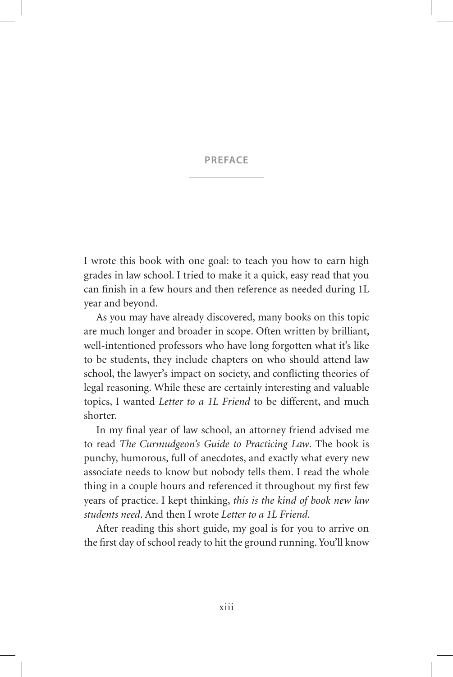#### **PREFACE**

I wrote this book with one goal: to teach you how to earn high grades in law school. I tried to make it a quick, easy read that you can finish in a few hours and then reference as needed during 1L year and beyond.

As you may have already discovered, many books on this topic are much longer and broader in scope. Often written by brilliant, well-intentioned professors who have long forgotten what it's like to be students, they include chapters on who should attend law school, the lawyer's impact on society, and conflicting theories of legal reasoning. While these are certainly interesting and valuable topics, I wanted *Letter to a 1L Friend* to be different, and much shorter.

In my final year of law school, an attorney friend advised me to read *The Curmudgeon's Guide to Practicing Law*. The book is punchy, humorous, full of anecdotes, and exactly what every new associate needs to know but nobody tells them. I read the whole thing in a couple hours and referenced it throughout my first few years of practice. I kept thinking, *this is the kind of book new law students need*. And then I wrote *Letter to a 1L Friend*.

After reading this short guide, my goal is for you to arrive on the first day of school ready to hit the ground running. You'll know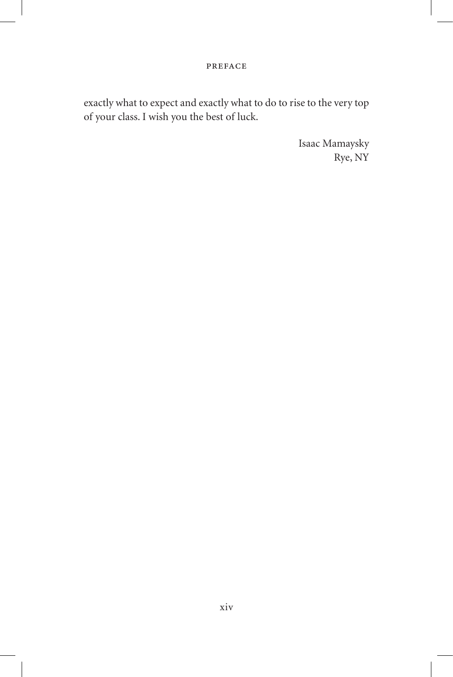#### preface

exactly what to expect and exactly what to do to rise to the very top of your class. I wish you the best of luck.

> Isaac Mamaysky Rye, NY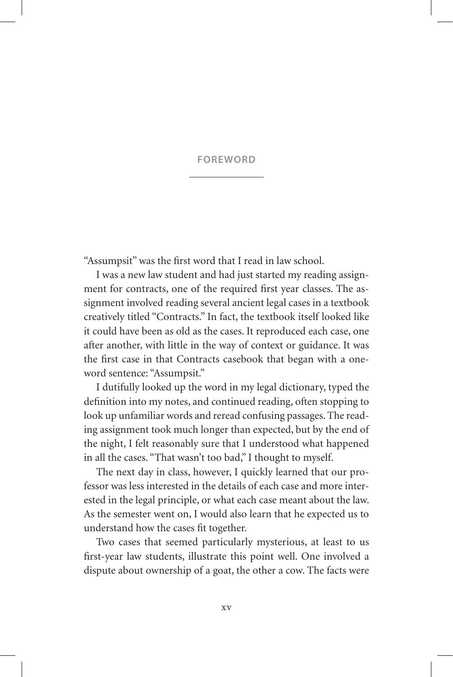#### **FOREWORD**

"Assumpsit" was the first word that I read in law school.

I was a new law student and had just started my reading assignment for contracts, one of the required first year classes. The assignment involved reading several ancient legal cases in a textbook creatively titled "Contracts." In fact, the textbook itself looked like it could have been as old as the cases. It reproduced each case, one after another, with little in the way of context or guidance. It was the first case in that Contracts casebook that began with a oneword sentence: "Assumpsit."

I dutifully looked up the word in my legal dictionary, typed the definition into my notes, and continued reading, often stopping to look up unfamiliar words and reread confusing passages. The reading assignment took much longer than expected, but by the end of the night, I felt reasonably sure that I understood what happened in all the cases. "That wasn't too bad," I thought to myself.

The next day in class, however, I quickly learned that our professor was less interested in the details of each case and more interested in the legal principle, or what each case meant about the law. As the semester went on, I would also learn that he expected us to understand how the cases fit together.

Two cases that seemed particularly mysterious, at least to us first-year law students, illustrate this point well. One involved a dispute about ownership of a goat, the other a cow. The facts were